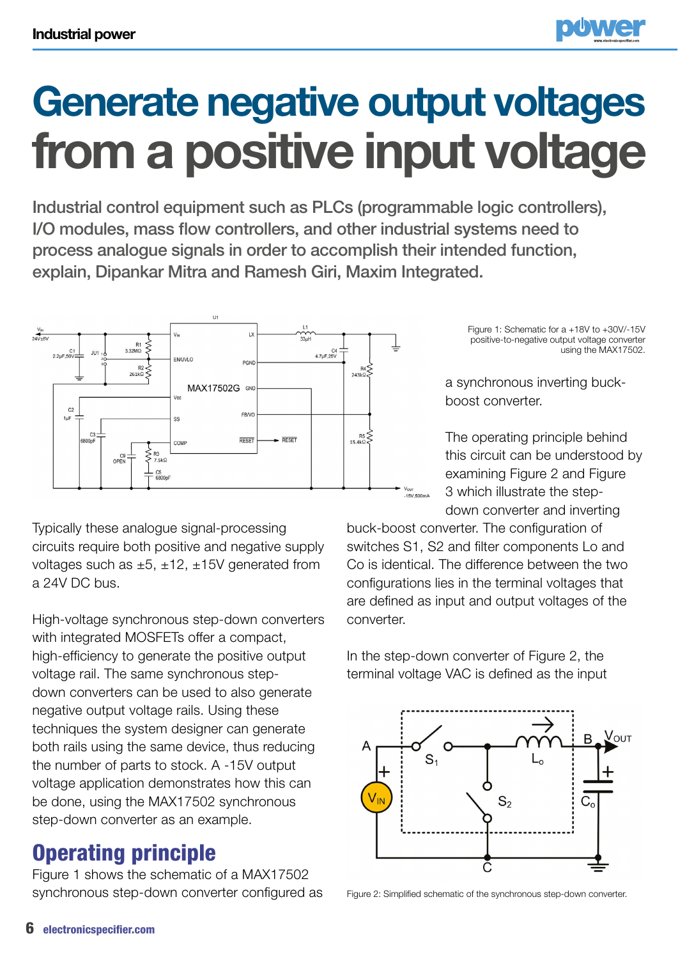

## **Generate negative output voltages from a positive input voltage**

Industrial control equipment such as PLCs (programmable logic controllers), I/O modules, mass flow controllers, and other industrial systems need to process analogue signals in order to accomplish their intended function, explain, Dipankar Mitra and Ramesh Giri, Maxim Integrated.



Typically these analogue signal-processing circuits require both positive and negative supply voltages such as  $\pm 5$ ,  $\pm 12$ ,  $\pm 15V$  generated from a 24V DC bus.

High-voltage synchronous step-down converters with integrated MOSFETs offer a compact, high-efficiency to generate the positive output voltage rail. The same synchronous stepdown converters can be used to also generate negative output voltage rails. Using these techniques the system designer can generate both rails using the same device, thus reducing the number of parts to stock. A -15V output voltage application demonstrates how this can be done, using the MAX17502 synchronous step-down converter as an example.

## Operating principle

Figure 1 shows the schematic of a MAX17502 synchronous step-down converter configured as Figure 1: Schematic for a +18V to +30V/-15V positive-to-negative output voltage converter using the MAX17502.

a synchronous inverting buckboost converter.

The operating principle behind this circuit can be understood by examining Figure 2 and Figure 3 which illustrate the stepdown converter and inverting

buck-boost converter. The configuration of switches S1, S2 and filter components Lo and Co is identical. The difference between the two configurations lies in the terminal voltages that are defined as input and output voltages of the converter.

In the step-down converter of Figure 2, the terminal voltage VAC is defined as the input



Figure 2: Simplified schematic of the synchronous step-down converter.